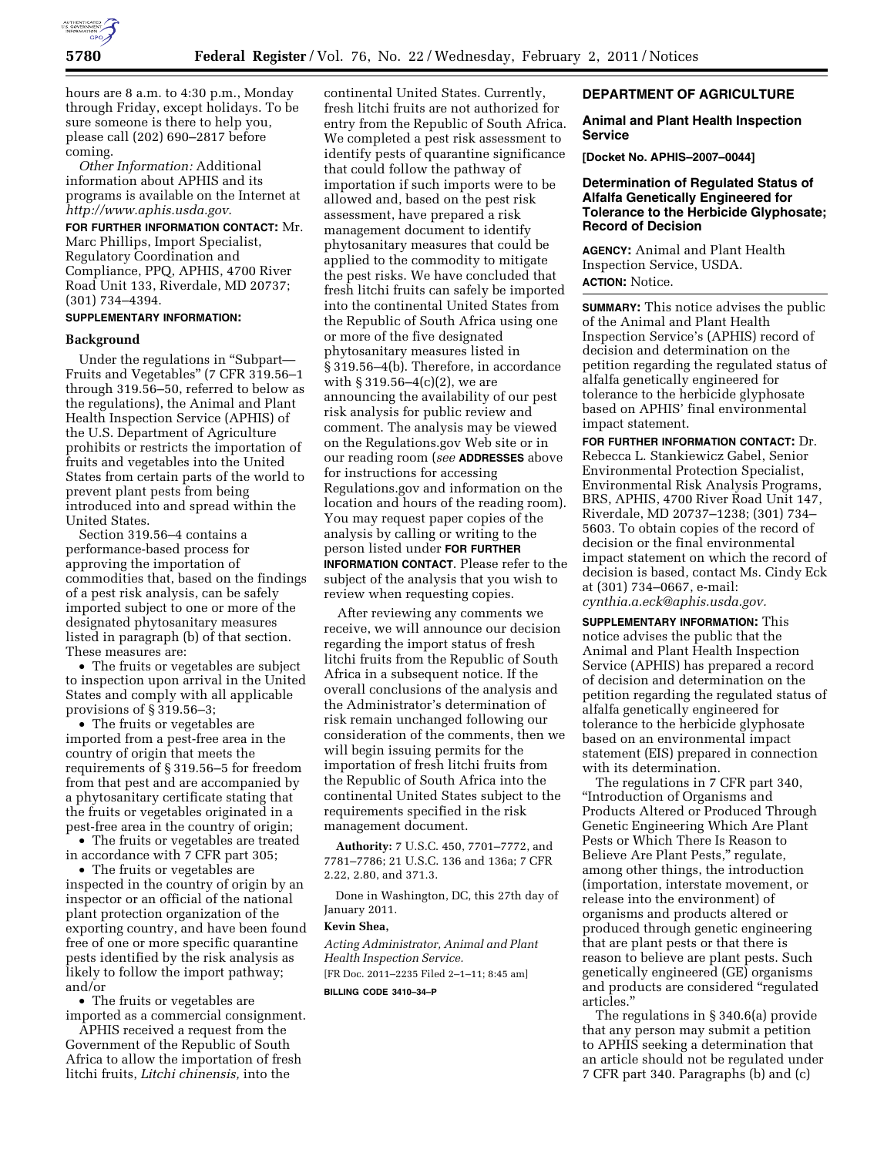

hours are 8 a.m. to 4:30 p.m., Monday through Friday, except holidays. To be sure someone is there to help you, please call (202) 690–2817 before coming.

*Other Information:* Additional information about APHIS and its programs is available on the Internet at *<http://www.aphis.usda.gov>*.

**FOR FURTHER INFORMATION CONTACT:** Mr. Marc Phillips, Import Specialist, Regulatory Coordination and Compliance, PPQ, APHIS, 4700 River Road Unit 133, Riverdale, MD 20737; (301) 734–4394.

## **SUPPLEMENTARY INFORMATION:**

## **Background**

Under the regulations in "Subpart-Fruits and Vegetables'' (7 CFR 319.56–1 through 319.56–50, referred to below as the regulations), the Animal and Plant Health Inspection Service (APHIS) of the U.S. Department of Agriculture prohibits or restricts the importation of fruits and vegetables into the United States from certain parts of the world to prevent plant pests from being introduced into and spread within the United States.

Section 319.56–4 contains a performance-based process for approving the importation of commodities that, based on the findings of a pest risk analysis, can be safely imported subject to one or more of the designated phytosanitary measures listed in paragraph (b) of that section. These measures are:

• The fruits or vegetables are subject to inspection upon arrival in the United States and comply with all applicable provisions of § 319.56–3;

• The fruits or vegetables are imported from a pest-free area in the country of origin that meets the requirements of § 319.56–5 for freedom from that pest and are accompanied by a phytosanitary certificate stating that the fruits or vegetables originated in a pest-free area in the country of origin;

• The fruits or vegetables are treated in accordance with 7 CFR part 305;

• The fruits or vegetables are inspected in the country of origin by an inspector or an official of the national plant protection organization of the exporting country, and have been found free of one or more specific quarantine pests identified by the risk analysis as likely to follow the import pathway; and/or

• The fruits or vegetables are imported as a commercial consignment.

APHIS received a request from the Government of the Republic of South Africa to allow the importation of fresh litchi fruits, *Litchi chinensis,* into the

continental United States. Currently, fresh litchi fruits are not authorized for entry from the Republic of South Africa. We completed a pest risk assessment to identify pests of quarantine significance that could follow the pathway of importation if such imports were to be allowed and, based on the pest risk assessment, have prepared a risk management document to identify phytosanitary measures that could be applied to the commodity to mitigate the pest risks. We have concluded that fresh litchi fruits can safely be imported into the continental United States from the Republic of South Africa using one or more of the five designated phytosanitary measures listed in § 319.56–4(b). Therefore, in accordance with  $\S 319.56 - 4(c)(2)$ , we are announcing the availability of our pest risk analysis for public review and comment. The analysis may be viewed on the Regulations.gov Web site or in our reading room (*see* **ADDRESSES** above for instructions for accessing Regulations.gov and information on the location and hours of the reading room). You may request paper copies of the analysis by calling or writing to the person listed under **FOR FURTHER INFORMATION CONTACT**. Please refer to the subject of the analysis that you wish to review when requesting copies.

After reviewing any comments we receive, we will announce our decision regarding the import status of fresh litchi fruits from the Republic of South Africa in a subsequent notice. If the overall conclusions of the analysis and the Administrator's determination of risk remain unchanged following our consideration of the comments, then we will begin issuing permits for the importation of fresh litchi fruits from the Republic of South Africa into the continental United States subject to the requirements specified in the risk management document.

**Authority:** 7 U.S.C. 450, 7701–7772, and 7781–7786; 21 U.S.C. 136 and 136a; 7 CFR 2.22, 2.80, and 371.3.

Done in Washington, DC, this 27th day of January 2011.

## **Kevin Shea,**

*Acting Administrator, Animal and Plant Health Inspection Service.*  [FR Doc. 2011–2235 Filed 2–1–11; 8:45 am]

**BILLING CODE 3410–34–P** 

## **DEPARTMENT OF AGRICULTURE**

## **Animal and Plant Health Inspection Service**

**[Docket No. APHIS–2007–0044]** 

# **Determination of Regulated Status of Alfalfa Genetically Engineered for Tolerance to the Herbicide Glyphosate; Record of Decision**

**AGENCY:** Animal and Plant Health Inspection Service, USDA. **ACTION:** Notice.

**SUMMARY:** This notice advises the public of the Animal and Plant Health Inspection Service's (APHIS) record of decision and determination on the petition regarding the regulated status of alfalfa genetically engineered for tolerance to the herbicide glyphosate based on APHIS' final environmental impact statement.

**FOR FURTHER INFORMATION CONTACT:** Dr. Rebecca L. Stankiewicz Gabel, Senior Environmental Protection Specialist, Environmental Risk Analysis Programs, BRS, APHIS, 4700 River Road Unit 147, Riverdale, MD 20737–1238; (301) 734– 5603. To obtain copies of the record of decision or the final environmental impact statement on which the record of decision is based, contact Ms. Cindy Eck at (301) 734–0667, e-mail: *[cynthia.a.eck@aphis.usda.gov.](mailto:cynthia.a.eck@aphis.usda.gov)* 

**SUPPLEMENTARY INFORMATION:** This notice advises the public that the Animal and Plant Health Inspection Service (APHIS) has prepared a record of decision and determination on the petition regarding the regulated status of alfalfa genetically engineered for tolerance to the herbicide glyphosate based on an environmental impact statement (EIS) prepared in connection with its determination.

The regulations in 7 CFR part 340, ''Introduction of Organisms and Products Altered or Produced Through Genetic Engineering Which Are Plant Pests or Which There Is Reason to Believe Are Plant Pests," regulate, among other things, the introduction (importation, interstate movement, or release into the environment) of organisms and products altered or produced through genetic engineering that are plant pests or that there is reason to believe are plant pests. Such genetically engineered (GE) organisms and products are considered ''regulated articles.''

The regulations in § 340.6(a) provide that any person may submit a petition to APHIS seeking a determination that an article should not be regulated under 7 CFR part 340. Paragraphs (b) and (c)